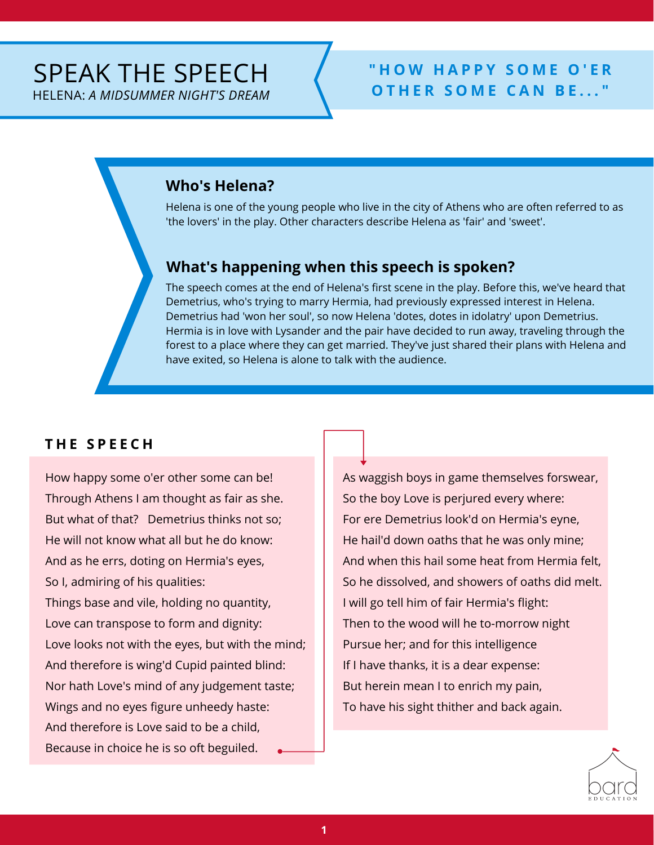# HELENA: *A MIDSUMMER NIGHT'S DREAM*

#### **" H O W H A P P Y S O M E O ' E R <sup>O</sup> <sup>T</sup> <sup>H</sup> <sup>E</sup> <sup>R</sup> <sup>S</sup> <sup>O</sup> <sup>M</sup> <sup>E</sup> <sup>C</sup> <sup>A</sup> <sup>N</sup> <sup>B</sup> <sup>E</sup> . . . "** SPEAK THE SPEECH

#### **Who's Helena?**

Helena is one of the young people who live in the city of Athens who are often referred to as 'the lovers' in the play. Other characters describe Helena as 'fair' and 'sweet'.

#### **What's happening when this speech is spoken?**

The speech comes at the end of Helena's first scene in the play. Before this, we've heard that Demetrius, who's trying to marry Hermia, had previously expressed interest in Helena. Demetrius had 'won her soul', so now Helena 'dotes, dotes in idolatry' upon Demetrius. Hermia is in love with Lysander and the pair have decided to run away, traveling through the forest to a place where they can get married. They've just shared their plans with Helena and have exited, so Helena is alone to talk with the audience.

#### **T H E S P E E C H**

How happy some o'er other some can be! Through Athens I am thought as fair as she. But what of that? Demetrius thinks not so; He will not know what all but he do know: And as he errs, doting on Hermia's eyes, So I, admiring of his qualities: Things base and vile, holding no quantity, Love can transpose to form and dignity: Love looks not with the eyes, but with the mind; And therefore is wing'd Cupid painted blind: Nor hath Love's mind of any judgement taste; Wings and no eyes figure unheedy haste: And therefore is Love said to be a child, Because in choice he is so oft beguiled.

As waggish boys in game themselves forswear, So the boy Love is perjured every where: For ere Demetrius look'd on Hermia's eyne, He hail'd down oaths that he was only mine; And when this hail some heat from Hermia felt, So he dissolved, and showers of oaths did melt. I will go tell him of fair Hermia's flight: Then to the wood will he to-morrow night Pursue her; and for this intelligence If I have thanks, it is a dear expense: But herein mean I to enrich my pain, To have his sight thither and back again.

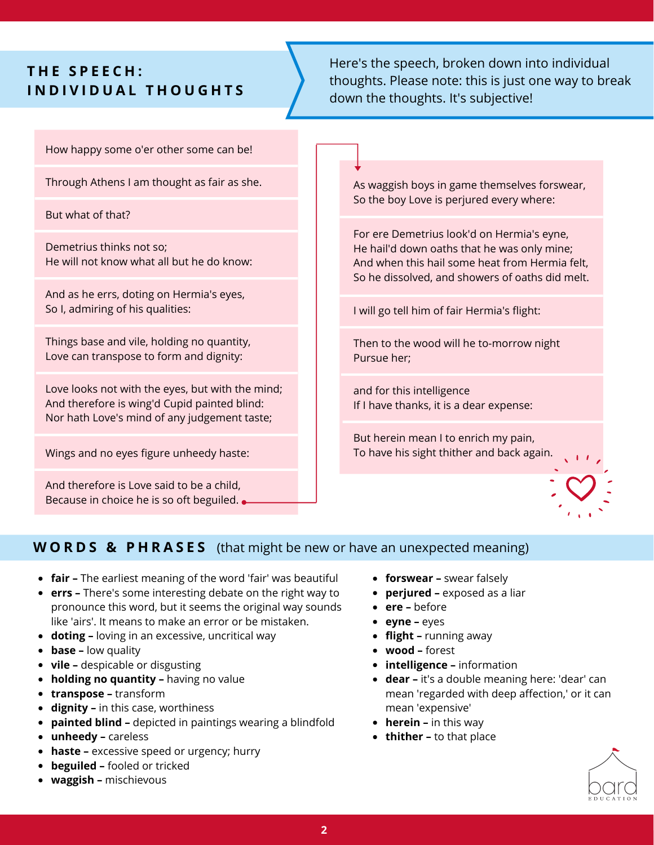### **T H E S P E E C H : I N D I V I D U A L T H O U G H T S**

Here's the speech, broken down into individual thoughts. Please note: this is just one way to break down the thoughts. It's subjective!

How happy some o'er other some can be!

Through Athens I am thought as fair as she.

But what of that?

Demetrius thinks not so; He will not know what all but he do know:

And as he errs, doting on Hermia's eyes, So I, admiring of his qualities:

Things base and vile, holding no quantity, Love can transpose to form and dignity:

Love looks not with the eyes, but with the mind; And therefore is wing'd Cupid painted blind: Nor hath Love's mind of any judgement taste;

Wings and no eyes figure unheedy haste:

And therefore is Love said to be a child, Because in choice he is so oft beguiled. As waggish boys in game themselves forswear, So the boy Love is perjured every where:

For ere Demetrius look'd on Hermia's eyne, He hail'd down oaths that he was only mine; And when this hail some heat from Hermia felt, So he dissolved, and showers of oaths did melt.

I will go tell him of fair Hermia's flight:

Then to the wood will he to-morrow night Pursue her;

and for this intelligence If I have thanks, it is a dear expense:

But herein mean I to enrich my pain, To have his sight thither and back again.



#### **W O R D S & P H R A S E S** (that might be new or have an unexpected meaning)

- **fair –** The earliest meaning of the word 'fair' was beautiful
- **errs –** There's some interesting debate on the right way to pronounce this word, but it seems the original way sounds like 'airs'. It means to make an error or be mistaken.
- **doting –** loving in an excessive, uncritical way
- **base –** low quality
- **vile –** despicable or disgusting
- **holding no quantity –** having no value
- **transpose –** transform
- **dignity –** in this case, worthiness
- **painted blind –** depicted in paintings wearing a blindfold
- **unheedy –** careless
- **haste –** excessive speed or urgency; hurry
- **beguiled –** fooled or tricked
- **waggish –** mischievous
- **forswear –** swear falsely
- **perjured –** exposed as a liar
- **ere –** before
- **eyne –** eyes
- **flight –** running away
- **wood –** forest
- **intelligence –** information
- **dear –** it's a double meaning here: 'dear' can mean 'regarded with deep affection,' or it can mean 'expensive'
- **herein –** in this way
- **thither –** to that place

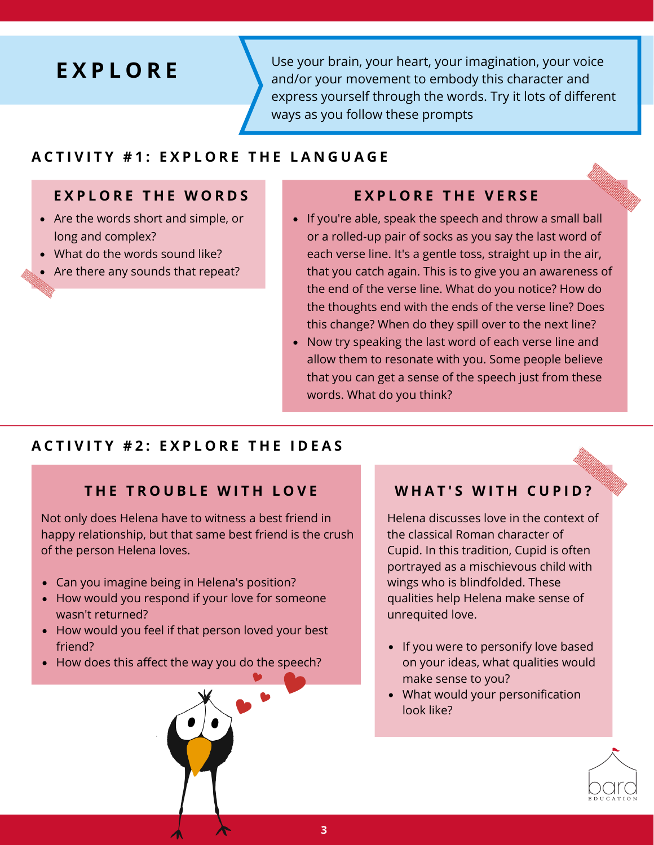## **E X P L O R E**

Use your brain, your heart, your imagination, your voice and/or your movement to embody this character and express yourself through the words. Try it lots of different ways as you follow these prompts

#### **ACTIVITY #1: EXPLORE THE LANGUAGE**

#### EXPLORE THE WORDS EXPLORE THE VERSE

- Are the words short and simple, or long and complex?
- What do the words sound like?
- Are there any sounds that repeat?

- If you're able, speak the speech and throw a small ball or a rolled-up pair of socks as you say the last word of each verse line. It's a gentle toss, straight up in the air, that you catch again. This is to give you an awareness of the end of the verse line. What do you notice? How do the thoughts end with the ends of the verse line? Does this change? When do they spill over to the next line?
- Now try speaking the last word of each verse line and allow them to resonate with you. Some people believe that you can get a sense of the speech just from these words. What do you think?

#### **ACTIVITY #2: EXPLORE THE IDEAS**

#### **T H E T R O U B L E W I T H L O V E**

Not only does Helena have to witness a best friend in happy relationship, but that same best friend is the crush of the person Helena loves.

- Can you imagine being in Helena's position?
- How would you respond if your love for someone wasn't returned?
- How would you feel if that person loved your best friend?
- How does this affect the way you do the speech?

#### **W H A T ' S W I T H C U P I D ?**

Helena discusses love in the context of the classical Roman character of Cupid. In this tradition, Cupid is often portrayed as a mischievous child with wings who is blindfolded. These qualities help Helena make sense of unrequited love.

- If you were to personify love based on your ideas, what qualities would make sense to you?
- What would your personification look like?